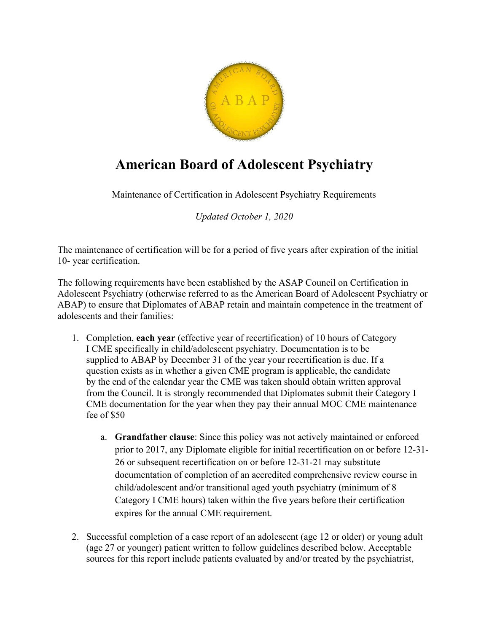

## American Board of Adolescent Psychiatry

Maintenance of Certification in Adolescent Psychiatry Requirements

Updated October 1, 2020

The maintenance of certification will be for a period of five years after expiration of the initial 10- year certification.

The following requirements have been established by the ASAP Council on Certification in Adolescent Psychiatry (otherwise referred to as the American Board of Adolescent Psychiatry or ABAP) to ensure that Diplomates of ABAP retain and maintain competence in the treatment of adolescents and their families:

- 1. Completion, each year (effective year of recertification) of 10 hours of Category I CME specifically in child/adolescent psychiatry. Documentation is to be supplied to ABAP by December 31 of the year your recertification is due. If a question exists as in whether a given CME program is applicable, the candidate by the end of the calendar year the CME was taken should obtain written approval from the Council. It is strongly recommended that Diplomates submit their Category I CME documentation for the year when they pay their annual MOC CME maintenance fee of \$50
	- a. Grandfather clause: Since this policy was not actively maintained or enforced prior to 2017, any Diplomate eligible for initial recertification on or before 12-31- 26 or subsequent recertification on or before 12-31-21 may substitute documentation of completion of an accredited comprehensive review course in child/adolescent and/or transitional aged youth psychiatry (minimum of 8 Category I CME hours) taken within the five years before their certification expires for the annual CME requirement.
- 2. Successful completion of a case report of an adolescent (age 12 or older) or young adult (age 27 or younger) patient written to follow guidelines described below. Acceptable sources for this report include patients evaluated by and/or treated by the psychiatrist,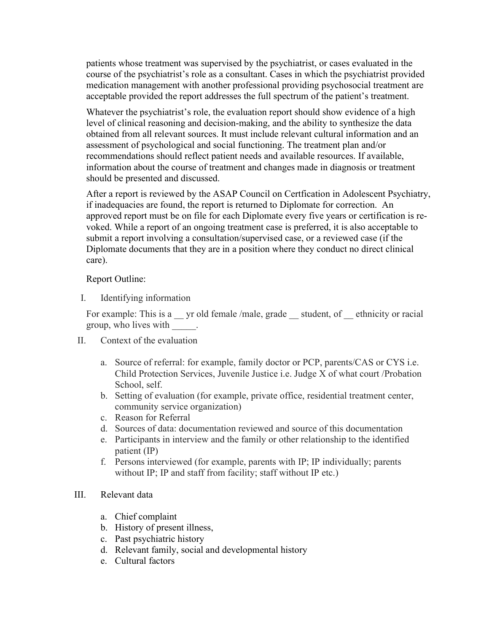patients whose treatment was supervised by the psychiatrist, or cases evaluated in the course of the psychiatrist's role as a consultant. Cases in which the psychiatrist provided medication management with another professional providing psychosocial treatment are acceptable provided the report addresses the full spectrum of the patient's treatment.

Whatever the psychiatrist's role, the evaluation report should show evidence of a high level of clinical reasoning and decision-making, and the ability to synthesize the data obtained from all relevant sources. It must include relevant cultural information and an assessment of psychological and social functioning. The treatment plan and/or recommendations should reflect patient needs and available resources. If available, information about the course of treatment and changes made in diagnosis or treatment should be presented and discussed.

After a report is reviewed by the ASAP Council on Certfication in Adolescent Psychiatry, if inadequacies are found, the report is returned to Diplomate for correction. An approved report must be on file for each Diplomate every five years or certification is revoked. While a report of an ongoing treatment case is preferred, it is also acceptable to submit a report involving a consultation/supervised case, or a reviewed case (if the Diplomate documents that they are in a position where they conduct no direct clinical care).

## Report Outline:

I. Identifying information

For example: This is a \_\_ yr old female /male, grade \_\_ student, of \_\_ ethnicity or racial group, who lives with \_\_\_\_\_.

- II. Context of the evaluation
	- a. Source of referral: for example, family doctor or PCP, parents/CAS or CYS i.e. Child Protection Services, Juvenile Justice i.e. Judge X of what court /Probation School, self.
	- b. Setting of evaluation (for example, private office, residential treatment center, community service organization)
	- c. Reason for Referral
	- d. Sources of data: documentation reviewed and source of this documentation
	- e. Participants in interview and the family or other relationship to the identified patient (IP)
	- f. Persons interviewed (for example, parents with IP; IP individually; parents without IP; IP and staff from facility; staff without IP etc.)

## III. Relevant data

- a. Chief complaint
- b. History of present illness,
- c. Past psychiatric history
- d. Relevant family, social and developmental history
- e. Cultural factors